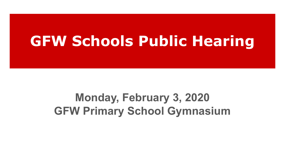# **GFW Schools Public Hearing**

# **Monday, February 3, 2020 GFW Primary School Gymnasium**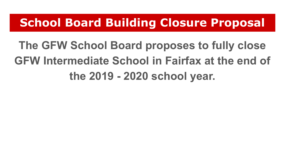### **School Board Building Closure Proposal**

**The GFW School Board proposes to fully close GFW Intermediate School in Fairfax at the end of the 2019 - 2020 school year.**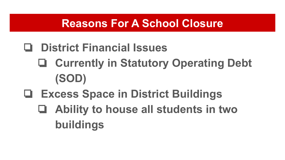#### **Reasons For A School Closure**

### ❏ **District Financial Issues**

- ❏ **Currently in Statutory Operating Debt (SOD)**
- ❏ **Excess Space in District Buildings**
	- ❏ **Ability to house all students in two buildings**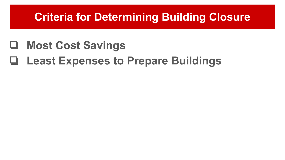#### **Criteria for Determining Building Closure**

### ❏ **Most Cost Savings**

# ❏ **Least Expenses to Prepare Buildings**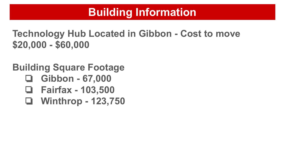### **Building Information**

**Technology Hub Located in Gibbon - Cost to move \$20,000 - \$60,000**

**Building Square Footage**

- ❏ **Gibbon 67,000**
- ❏ **Fairfax 103,500**
- ❏ **Winthrop 123,750**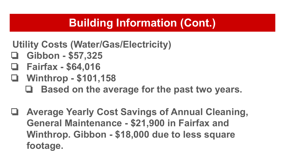### **Building Information (Cont.)**

- **Utility Costs (Water/Gas/Electricity)**
- ❏ **Gibbon \$57,325**
- ❏ **Fairfax \$64,016**
- ❏ **Winthrop \$101,158**
	- ❏ **Based on the average for the past two years.**
- ❏ **Average Yearly Cost Savings of Annual Cleaning, General Maintenance - \$21,900 in Fairfax and Winthrop. Gibbon - \$18,000 due to less square footage.**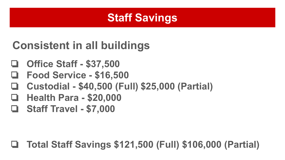#### **Staff Savings**

# **Consistent in all buildings**

- ❏ **Office Staff \$37,500**
- ❏ **Food Service \$16,500**
- ❏ **Custodial \$40,500 (Full) \$25,000 (Partial)**
- ❏ **Health Para \$20,000**
- ❏ **Staff Travel \$7,000**

#### ❏ **Total Staff Savings \$121,500 (Full) \$106,000 (Partial)**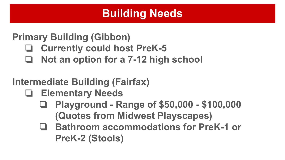### **Building Needs**

#### **Primary Building (Gibbon)**

- ❏ **Currently could host PreK-5**
- ❏ **Not an option for a 7-12 high school**

#### **Intermediate Building (Fairfax)**

- ❏ **Elementary Needs**
	- ❏ **Playground Range of \$50,000 \$100,000 (Quotes from Midwest Playscapes)**
	- ❏ **Bathroom accommodations for PreK-1 or PreK-2 (Stools)**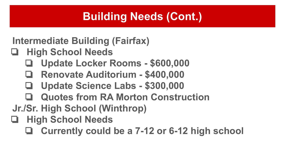### **Building Needs (Cont.)**

**Intermediate Building (Fairfax)**

- ❏ **High School Needs**
	- ❏ **Update Locker Rooms \$600,000**
	- ❏ **Renovate Auditorium \$400,000**
	- ❏ **Update Science Labs \$300,000**
	- ❏ **Quotes from RA Morton Construction**
- **Jr./Sr. High School (Winthrop)**
- ❏ **High School Needs**
	- ❏ **Currently could be a 7-12 or 6-12 high school**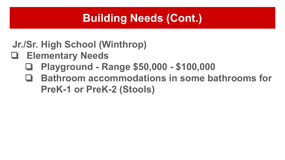### **Building Needs (Cont.)**

**Jr./Sr. High School (Winthrop)**

- ❏ **Elementary Needs**
	- ❏ **Playground Range \$50,000 \$100,000**
	- ❏ **Bathroom accommodations in some bathrooms for PreK-1 or PreK-2 (Stools)**